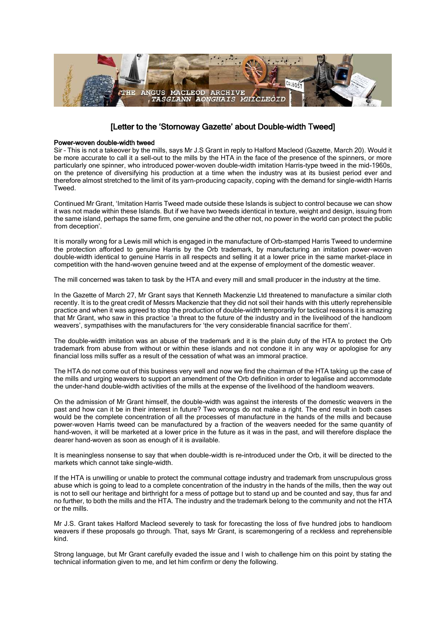

## [Letter to the 'Stornoway Gazette' about Double-width Tweed]

## Power-woven double-width tweed

Sir – This is not a takeover by the mills, says Mr J.S Grant in reply to Halford Macleod (Gazette, March 20). Would it be more accurate to call it a sell-out to the mills by the HTA in the face of the presence of the spinners, or more particularly one spinner, who introduced power-woven double-width imitation Harris-type tweed in the mid-1960s, on the pretence of diversifying his production at a time when the industry was at its busiest period ever and therefore almost stretched to the limit of its yarn-producing capacity, coping with the demand for single-width Harris **Tweed** 

Continued Mr Grant, 'Imitation Harris Tweed made outside these Islands is subject to control because we can show it was not made within these Islands. But if we have two tweeds identical in texture, weight and design, issuing from the same island, perhaps the same firm, one genuine and the other not, no power in the world can protect the public from deception'.

It is morally wrong for a Lewis mill which is engaged in the manufacture of Orb-stamped Harris Tweed to undermine the protection afforded to genuine Harris by the Orb trademark, by manufacturing an imitation power-woven double-width identical to genuine Harris in all respects and selling it at a lower price in the same market-place in competition with the hand-woven genuine tweed and at the expense of employment of the domestic weaver.

The mill concerned was taken to task by the HTA and every mill and small producer in the industry at the time.

In the Gazette of March 27, Mr Grant says that Kenneth Mackenzie Ltd threatened to manufacture a similar cloth recently. It is to the great credit of Messrs Mackenzie that they did not soil their hands with this utterly reprehensible practice and when it was agreed to stop the production of double-width temporarily for tactical reasons it is amazing that Mr Grant, who saw in this practice 'a threat to the future of the industry and in the livelihood of the handloom weavers', sympathises with the manufacturers for 'the very considerable financial sacrifice for them'.

The double-width imitation was an abuse of the trademark and it is the plain duty of the HTA to protect the Orb trademark from abuse from without or within these islands and not condone it in any way or apologise for any financial loss mills suffer as a result of the cessation of what was an immoral practice.

The HTA do not come out of this business very well and now we find the chairman of the HTA taking up the case of the mills and urging weavers to support an amendment of the Orb definition in order to legalise and accommodate the under-hand double-width activities of the mills at the expense of the livelihood of the handloom weavers.

On the admission of Mr Grant himself, the double-width was against the interests of the domestic weavers in the past and how can it be in their interest in future? Two wrongs do not make a right. The end result in both cases would be the complete concentration of all the processes of manufacture in the hands of the mills and because power-woven Harris tweed can be manufactured by a fraction of the weavers needed for the same quantity of hand-woven, it will be marketed at a lower price in the future as it was in the past, and will therefore displace the dearer hand-woven as soon as enough of it is available.

It is meaningless nonsense to say that when double-width is re-introduced under the Orb, it will be directed to the markets which cannot take single-width.

If the HTA is unwilling or unable to protect the communal cottage industry and trademark from unscrupulous gross abuse which is going to lead to a complete concentration of the industry in the hands of the mills, then the way out is not to sell our heritage and birthright for a mess of pottage but to stand up and be counted and say, thus far and no further, to both the mills and the HTA. The industry and the trademark belong to the community and not the HTA or the mills.

Mr J.S. Grant takes Halford Macleod severely to task for forecasting the loss of five hundred jobs to handloom weavers if these proposals go through. That, says Mr Grant, is scaremongering of a reckless and reprehensible kind.

Strong language, but Mr Grant carefully evaded the issue and I wish to challenge him on this point by stating the technical information given to me, and let him confirm or deny the following.